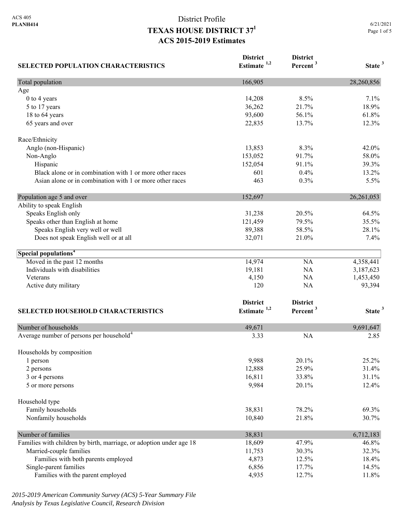| <b>SELECTED POPULATION CHARACTERISTICS</b>                          | <b>District</b><br>Estimate $1,2$ | <b>District</b><br>Percent <sup>3</sup> | State <sup>3</sup> |
|---------------------------------------------------------------------|-----------------------------------|-----------------------------------------|--------------------|
| Total population                                                    | 166,905                           |                                         | 28,260,856         |
| Age                                                                 |                                   |                                         |                    |
| 0 to 4 years                                                        | 14,208                            | 8.5%                                    | 7.1%               |
| 5 to 17 years                                                       | 36,262                            | 21.7%                                   | 18.9%              |
| 18 to 64 years                                                      | 93,600                            | 56.1%                                   | 61.8%              |
| 65 years and over                                                   | 22,835                            | 13.7%                                   | 12.3%              |
| Race/Ethnicity                                                      |                                   |                                         |                    |
| Anglo (non-Hispanic)                                                | 13,853                            | 8.3%                                    | 42.0%              |
| Non-Anglo                                                           | 153,052                           | 91.7%                                   | 58.0%              |
| Hispanic                                                            | 152,054                           | 91.1%                                   | 39.3%              |
| Black alone or in combination with 1 or more other races            | 601                               | 0.4%                                    | 13.2%              |
| Asian alone or in combination with 1 or more other races            | 463                               | 0.3%                                    | 5.5%               |
| Population age 5 and over                                           | 152,697                           |                                         | 26, 261, 053       |
| Ability to speak English                                            |                                   |                                         |                    |
| Speaks English only                                                 | 31,238                            | 20.5%                                   | 64.5%              |
| Speaks other than English at home                                   | 121,459                           | 79.5%                                   | 35.5%              |
| Speaks English very well or well                                    | 89,388                            | 58.5%                                   | 28.1%              |
| Does not speak English well or at all                               | 32,071                            | 21.0%                                   | 7.4%               |
| Special populations <sup>4</sup>                                    |                                   |                                         |                    |
| Moved in the past 12 months                                         | 14,974                            | NA                                      | 4,358,441          |
| Individuals with disabilities                                       | 19,181                            | NA                                      | 3,187,623          |
| Veterans                                                            | 4,150                             | NA                                      | 1,453,450          |
| Active duty military                                                | 120                               | <b>NA</b>                               | 93,394             |
|                                                                     | <b>District</b>                   | <b>District</b>                         |                    |
|                                                                     | Estimate <sup>1,2</sup>           | Percent <sup>3</sup>                    | State <sup>3</sup> |
| <b>SELECTED HOUSEHOLD CHARACTERISTICS</b>                           |                                   |                                         |                    |
| Number of households                                                | 49,671                            |                                         | 9,691,647          |
| Average number of persons per household <sup>4</sup>                | 3.33                              | <b>NA</b>                               | 2.85               |
| Households by composition                                           |                                   |                                         |                    |
| 1 person                                                            | 9,988                             | 20.1%                                   | 25.2%              |
| 2 persons                                                           | 12,888                            | 25.9%                                   | 31.4%              |
| 3 or 4 persons                                                      | 16,811                            | 33.8%                                   | 31.1%              |
| 5 or more persons                                                   | 9,984                             | 20.1%                                   | 12.4%              |
| Household type                                                      |                                   |                                         |                    |
| Family households                                                   | 38,831                            | 78.2%                                   | 69.3%              |
| Nonfamily households                                                | 10,840                            | 21.8%                                   | 30.7%              |
| Number of families                                                  | 38,831                            |                                         | 6,712,183          |
| Families with children by birth, marriage, or adoption under age 18 | 18,609                            | 47.9%                                   | 46.8%              |
| Married-couple families                                             | 11,753                            | 30.3%                                   | 32.3%              |
| Families with both parents employed                                 | 4,873                             | 12.5%                                   | 18.4%              |
| Single-parent families                                              | 6,856                             | 17.7%                                   | 14.5%              |
| Families with the parent employed                                   | 4,935                             | 12.7%                                   | 11.8%              |

*2015-2019 American Community Survey (ACS) 5-Year Summary File Analysis by Texas Legislative Council, Research Division*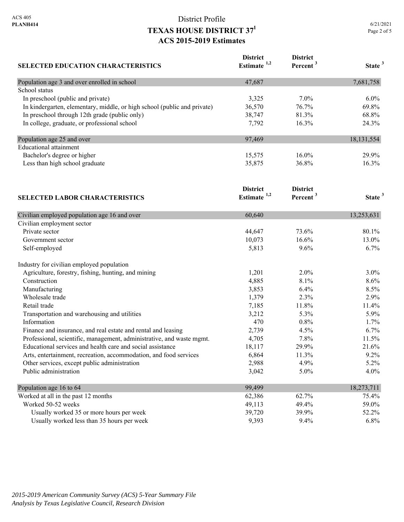| <b>SELECTED EDUCATION CHARACTERISTICS</b>                                | <b>District</b><br>Estimate $1,2$ | <b>District</b><br>Percent <sup>3</sup> | State <sup>3</sup> |
|--------------------------------------------------------------------------|-----------------------------------|-----------------------------------------|--------------------|
| Population age 3 and over enrolled in school                             | 47,687                            |                                         | 7,681,758          |
| School status                                                            |                                   |                                         |                    |
| In preschool (public and private)                                        | 3,325                             | 7.0%                                    | 6.0%               |
| In kindergarten, elementary, middle, or high school (public and private) | 36,570                            | 76.7%                                   | 69.8%              |
| In preschool through 12th grade (public only)                            | 38,747                            | 81.3%                                   | 68.8%              |
| In college, graduate, or professional school                             | 7,792                             | 16.3%                                   | 24.3%              |
| Population age 25 and over                                               | 97,469                            |                                         | 18,131,554         |
| <b>Educational</b> attainment                                            |                                   |                                         |                    |
| Bachelor's degree or higher                                              | 15,575                            | 16.0%                                   | 29.9%              |
| Less than high school graduate<br><b>SELECTED LABOR CHARACTERISTICS</b>  | 35,875                            | 36.8%                                   | 16.3%              |
|                                                                          | <b>District</b><br>Estimate $1,2$ | <b>District</b><br>Percent <sup>3</sup> | State <sup>3</sup> |
|                                                                          |                                   |                                         |                    |
| Civilian employed population age 16 and over                             | 60,640                            |                                         | 13,253,631         |
| Civilian employment sector                                               |                                   |                                         |                    |
| Private sector                                                           | 44,647                            | 73.6%                                   | 80.1%              |
| Government sector                                                        | 10,073                            | 16.6%                                   | 13.0%              |
| Self-employed                                                            | 5,813                             | 9.6%                                    | 6.7%               |
| Industry for civilian employed population                                |                                   |                                         |                    |
| Agriculture, forestry, fishing, hunting, and mining                      | 1,201                             | 2.0%                                    | $3.0\%$            |
| Construction                                                             | 4,885                             | 8.1%                                    | 8.6%               |
| Manufacturing                                                            | 3,853                             | 6.4%                                    | 8.5%               |
| Wholesale trade                                                          | 1,379                             | 2.3%                                    | 2.9%               |
| Retail trade                                                             | 7,185                             | 11.8%                                   | 11.4%              |
| Transportation and warehousing and utilities                             | 3,212                             | 5.3%                                    | 5.9%               |
| Information                                                              | 470                               | 0.8%                                    | 1.7%               |
| Finance and insurance, and real estate and rental and leasing            | 2,739                             | 4.5%                                    | 6.7%               |
| Professional, scientific, management, administrative, and waste mgmt.    | 4,705                             | 7.8%                                    | 11.5%              |
| Educational services and health care and social assistance               | 18,117                            | 29.9%                                   | 21.6%              |
| Arts, entertainment, recreation, accommodation, and food services        | 6,864                             | 11.3%                                   | 9.2%               |
| Other services, except public administration                             | 2,988                             | 4.9%                                    | 5.2%               |
| Public administration                                                    | 3,042                             | 5.0%                                    | 4.0%               |
| Population age 16 to 64                                                  | 99,499                            |                                         | 18,273,711         |
| Worked at all in the past 12 months                                      | 62,386                            | 62.7%                                   | 75.4%              |
| Worked 50-52 weeks                                                       | 49,113                            | 49.4%                                   | 59.0%              |
| Usually worked 35 or more hours per week                                 | 39,720                            | 39.9%                                   | 52.2%              |
| Usually worked less than 35 hours per week                               | 9,393                             | 9.4%                                    | 6.8%               |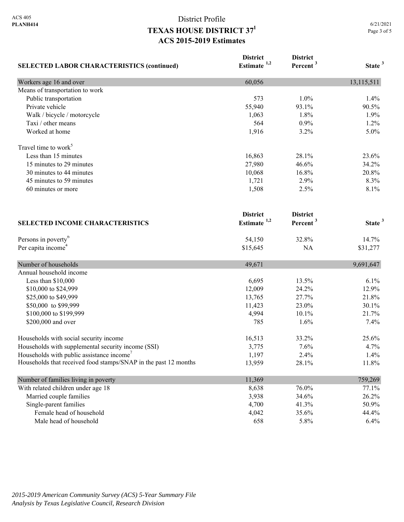| <b>SELECTED LABOR CHARACTERISTICS (continued)</b>               | <b>District</b><br>Estimate <sup>1,2</sup> | <b>District</b><br>Percent <sup>3</sup> | State <sup>3</sup> |
|-----------------------------------------------------------------|--------------------------------------------|-----------------------------------------|--------------------|
| Workers age 16 and over                                         | 60,056                                     |                                         | 13,115,511         |
| Means of transportation to work                                 |                                            |                                         |                    |
| Public transportation                                           | 573                                        | 1.0%                                    | 1.4%               |
| Private vehicle                                                 | 55,940                                     | 93.1%                                   | 90.5%              |
| Walk / bicycle / motorcycle                                     | 1,063                                      | 1.8%                                    | 1.9%               |
| Taxi / other means                                              | 564                                        | 0.9%                                    | 1.2%               |
| Worked at home                                                  | 1,916                                      | 3.2%                                    | 5.0%               |
| Travel time to work <sup>5</sup>                                |                                            |                                         |                    |
| Less than 15 minutes                                            | 16,863                                     | 28.1%                                   | 23.6%              |
| 15 minutes to 29 minutes                                        | 27,980                                     | 46.6%                                   | 34.2%              |
| 30 minutes to 44 minutes                                        | 10,068                                     | 16.8%                                   | 20.8%              |
| 45 minutes to 59 minutes                                        | 1,721                                      | 2.9%                                    | 8.3%               |
| 60 minutes or more                                              | 1,508                                      | 2.5%                                    | 8.1%               |
| <b>SELECTED INCOME CHARACTERISTICS</b>                          | <b>District</b><br>Estimate <sup>1,2</sup> | <b>District</b><br>Percent <sup>3</sup> | State <sup>3</sup> |
| Persons in poverty <sup>6</sup>                                 | 54,150                                     | 32.8%                                   | 14.7%              |
| Per capita income <sup>4</sup>                                  | \$15,645                                   | NA                                      | \$31,277           |
|                                                                 |                                            |                                         |                    |
| Number of households                                            | 49,671                                     |                                         | 9,691,647          |
| Annual household income                                         |                                            |                                         |                    |
| Less than \$10,000                                              | 6,695                                      | 13.5%                                   | 6.1%               |
| \$10,000 to \$24,999                                            | 12,009                                     | 24.2%                                   | 12.9%              |
| \$25,000 to \$49,999                                            | 13,765                                     | 27.7%                                   | 21.8%              |
| \$50,000 to \$99,999                                            | 11,423                                     | 23.0%                                   | 30.1%              |
| \$100,000 to \$199,999                                          | 4,994                                      | 10.1%                                   | 21.7%              |
| \$200,000 and over                                              | 785                                        | 1.6%                                    | 7.4%               |
| Households with social security income                          | 16,513                                     | 33.2%                                   | 25.6%              |
| Households with supplemental security income (SSI)              | 3,775                                      | 7.6%                                    | 4.7%               |
| Households with public assistance income <sup>7</sup>           | 1,197                                      | 2.4%                                    | 1.4%               |
| Households that received food stamps/SNAP in the past 12 months | 13,959                                     | 28.1%                                   | 11.8%              |
| Number of families living in poverty                            | 11,369                                     |                                         | 759,269            |
| With related children under age 18                              | 8,638                                      | 76.0%                                   | 77.1%              |
| Married couple families                                         | 3,938                                      | 34.6%                                   | 26.2%              |
| Single-parent families                                          | 4,700                                      | 41.3%                                   | 50.9%              |
| Female head of household                                        | 4,042                                      | 35.6%                                   | 44.4%              |
| Male head of household                                          | 658                                        | 5.8%                                    | 6.4%               |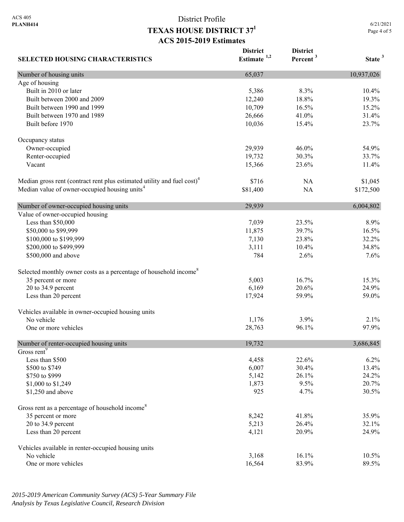**SELECTED HOUSING CHARACTERISTICS District Estimate 1,2 District Percent <sup>3</sup> State <sup>3</sup>** Number of housing units 10,937,026 Age of housing Built in 2010 or later 10.4% 10.4% 10.4% 10.4% 10.4% 10.4% 10.4% 10.4% 10.4% 10.4% Built between 2000 and 2009 12,240 18.8% 19.3% 19.3% Built between 1990 and 1999 10,709 16.5% 15.2% Built between 1970 and 1989 26,666 41.0% 31.4% Built before 1970 23.7% 23.7% Occupancy status Owner-occupied 29,939 46.0% 54.9% Renter-occupied 19,732 30.3% 33.7% Vacant 15,366 23.6% 11.4% Median gross rent (contract rent plus estimated utility and fuel cost)<sup>4</sup> \$716 NA \$1,045 Median value of owner-occupied housing units<sup>4</sup> 581,400 NA \$172,500 Number of owner-occupied housing units 29,939 6,004,802 Value of owner-occupied housing Less than \$50,000 7,039 23.5% 8.9% \$50,000 to \$99,999 11,875 39.7% 16.5% 16.5% \$100,000 to \$199,999 32.2% 32.2% 32.2% 32.2% 32.2% 32.2% 32.2% 32.2% 32.2% 32.2% 32.2% 32.2% 32.2% 32.2% 32.2%  $$200,000$  to \$499,999 34.8% 34.8% \$500,000 and above 784 2.6% 7.6% Selected monthly owner costs as a percentage of household income<sup>8</sup> 35 percent or more 15.3% 16.7% 15.3% 20 to 34.9 percent 24.9% 22.6% 24.9% 26.169 20.6% 24.9% Less than 20 percent 59.0% 59.0% 59.0% 59.0% 59.0% 59.0% 59.0% 59.0% 59.0% 59.0% 59.0% 59.0% 59.0% 59.0% 59.0% Vehicles available in owner-occupied housing units No vehicle  $1,176$   $3.9\%$   $2.1\%$ One or more vehicles 28.763 96.1% 97.9% 97.9% Number of renter-occupied housing units 19,732 3,686,845 Gross rent<sup>9</sup> Less than \$500 4,458 22.6% 6.2% \$500 to \$749 **6,007 30.4%** 13.4%  $$750 \text{ to } $999$  24.2% 24.2% \$1,000 to \$1,249 1,873 9.5% 20.7% \$1,250 and above 30.5% 30.5% 30.5% 30.5% Gross rent as a percentage of household income<sup>8</sup> 35 percent or more 35.9% 35.9% 20 to 34.9 percent 32.1% 32.1% Less than 20 percent 24.9% 24.9% 24.9% 26.9% 24.9% 26.9% 26.9% 26.9% 26.9% 26.9% 26.9% 26.9% 26.9% 26.9% 26.9% 26.9% 26.9% 26.9% 26.9% 26.9% 26.9% 26.9% 26.9% 26.9% 26.9% 26.9% 26.9% 26.9% 26.9% 26.9% 26.9% 26.9% 26.9% 26. Vehicles available in renter-occupied housing units No vehicle 10.5% 10.5% 10.5% 10.5% 10.5% 10.5% 10.5% 10.5% 10.5% 10.5% 10.5% 10.5% 10.5% 10.5% 10.5% 10.5% 10.5% One or more vehicles 89.5% 89.5%